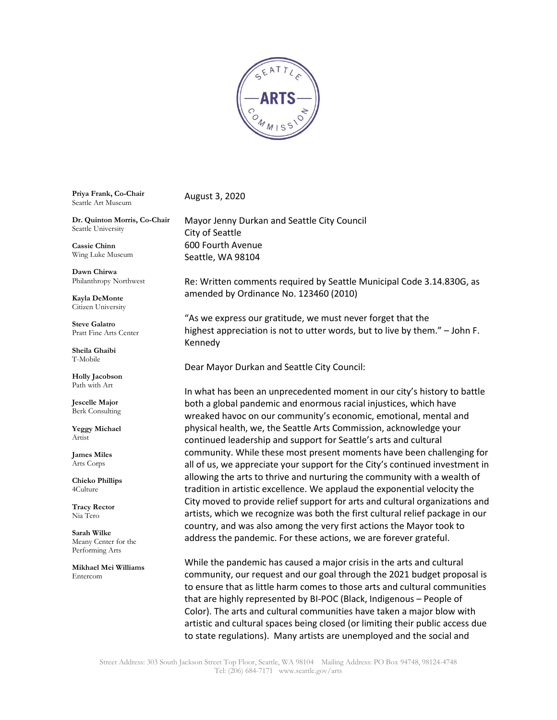

**Priya Frank, Co-Chair**  Seattle Art Museum

**Dr. Quinton Morris, Co-Chair** Seattle University

**Cassie Chinn** Wing Luke Museum

**Dawn Chirwa** Philanthropy Northwest

**Kayla DeMonte** Citizen University

**Steve Galatro** Pratt Fine Arts Center

**Sheila Ghaibi** T-Mobile

**Holly Jacobson**  Path with Art

**Jescelle Major** Berk Consulting

**Yeggy Michael** Artist

**James Miles** Arts Corps

**Chieko Phillips** 4Culture

**Tracy Rector** Nia Tero

**Sarah Wilke** Meany Center for the Performing Arts

**Mikhael Mei Williams** Entercom

August 3, 2020

Mayor Jenny Durkan and Seattle City Council City of Seattle 600 Fourth Avenue Seattle, WA 98104

Re: Written comments required by Seattle Municipal Code 3.14.830G, as amended by Ordinance No. 123460 (2010)

"As we express our gratitude, we must never forget that the highest appreciation is not to utter words, but to live by them." – John F. Kennedy

Dear Mayor Durkan and Seattle City Council:

In what has been an unprecedented moment in our city's history to battle both a global pandemic and enormous racial injustices, which have wreaked havoc on our community's economic, emotional, mental and physical health, we, the Seattle Arts Commission, acknowledge your continued leadership and support for Seattle's arts and cultural community. While these most present moments have been challenging for all of us, we appreciate your support for the City's continued investment in allowing the arts to thrive and nurturing the community with a wealth of tradition in artistic excellence. We applaud the exponential velocity the City moved to provide relief support for arts and cultural organizations and artists, which we recognize was both the first cultural relief package in our country, and was also among the very first actions the Mayor took to address the pandemic. For these actions, we are forever grateful.

While the pandemic has caused a major crisis in the arts and cultural community, our request and our goal through the 2021 budget proposal is to ensure that as little harm comes to those arts and cultural communities that are highly represented by BI-POC (Black, Indigenous – People of Color). The arts and cultural communities have taken a major blow with artistic and cultural spaces being closed (or limiting their public access due to state regulations). Many artists are unemployed and the social and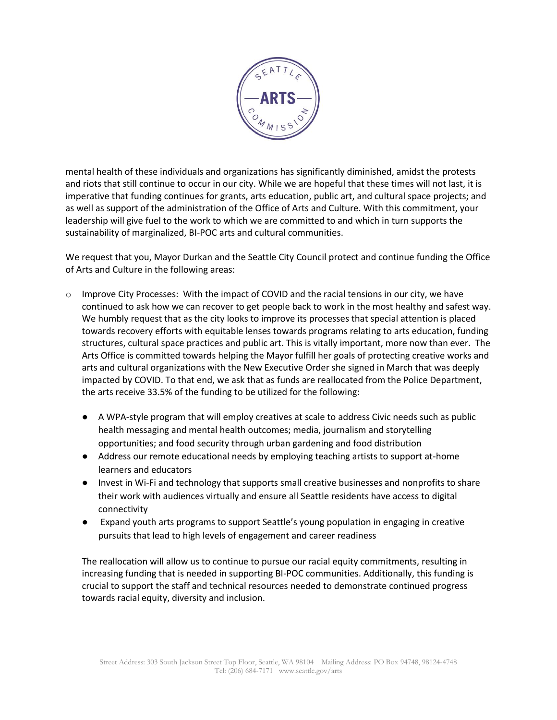

mental health of these individuals and organizations has significantly diminished, amidst the protests and riots that still continue to occur in our city. While we are hopeful that these times will not last, it is imperative that funding continues for grants, arts education, public art, and cultural space projects; and as well as support of the administration of the Office of Arts and Culture. With this commitment, your leadership will give fuel to the work to which we are committed to and which in turn supports the sustainability of marginalized, BI-POC arts and cultural communities.

We request that you, Mayor Durkan and the Seattle City Council protect and continue funding the Office of Arts and Culture in the following areas:

- o Improve City Processes: With the impact of COVID and the racial tensions in our city, we have continued to ask how we can recover to get people back to work in the most healthy and safest way. We humbly request that as the city looks to improve its processes that special attention is placed towards recovery efforts with equitable lenses towards programs relating to arts education, funding structures, cultural space practices and public art. This is vitally important, more now than ever. The Arts Office is committed towards helping the Mayor fulfill her goals of protecting creative works and arts and cultural organizations with the New Executive Order she signed in March that was deeply impacted by COVID. To that end, we ask that as funds are reallocated from the Police Department, the arts receive 33.5% of the funding to be utilized for the following:
	- A WPA-style program that will employ creatives at scale to address Civic needs such as public health messaging and mental health outcomes; media, journalism and storytelling opportunities; and food security through urban gardening and food distribution
	- Address our remote educational needs by employing teaching artists to support at-home learners and educators
	- Invest in Wi-Fi and technology that supports small creative businesses and nonprofits to share their work with audiences virtually and ensure all Seattle residents have access to digital connectivity
	- Expand youth arts programs to support Seattle's young population in engaging in creative pursuits that lead to high levels of engagement and career readiness

The reallocation will allow us to continue to pursue our racial equity commitments, resulting in increasing funding that is needed in supporting BI-POC communities. Additionally, this funding is crucial to support the staff and technical resources needed to demonstrate continued progress towards racial equity, diversity and inclusion.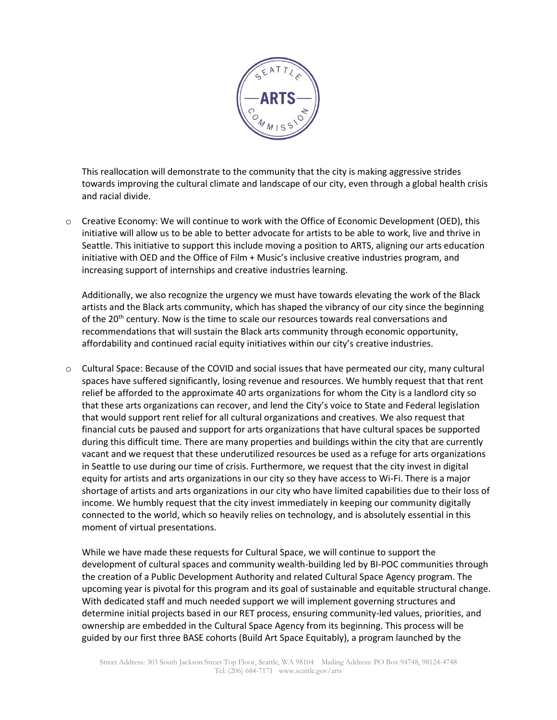

This reallocation will demonstrate to the community that the city is making aggressive strides towards improving the cultural climate and landscape of our city, even through a global health crisis and racial divide.

o Creative Economy: We will continue to work with the Office of Economic Development (OED), this initiative will allow us to be able to better advocate for artists to be able to work, live and thrive in Seattle. This initiative to support this include moving a position to ARTS, aligning our arts education initiative with OED and the Office of Film + Music's inclusive creative industries program, and increasing support of internships and creative industries learning.

Additionally, we also recognize the urgency we must have towards elevating the work of the Black artists and the Black arts community, which has shaped the vibrancy of our city since the beginning of the 20<sup>th</sup> century. Now is the time to scale our resources towards real conversations and recommendations that will sustain the Black arts community through economic opportunity, affordability and continued racial equity initiatives within our city's creative industries.

 $\circ$  Cultural Space: Because of the COVID and social issues that have permeated our city, many cultural spaces have suffered significantly, losing revenue and resources. We humbly request that that rent relief be afforded to the approximate 40 arts organizations for whom the City is a landlord city so that these arts organizations can recover, and lend the City's voice to State and Federal legislation that would support rent relief for all cultural organizations and creatives. We also request that financial cuts be paused and support for arts organizations that have cultural spaces be supported during this difficult time. There are many properties and buildings within the city that are currently vacant and we request that these underutilized resources be used as a refuge for arts organizations in Seattle to use during our time of crisis. Furthermore, we request that the city invest in digital equity for artists and arts organizations in our city so they have access to Wi-Fi. There is a major shortage of artists and arts organizations in our city who have limited capabilities due to their loss of income. We humbly request that the city invest immediately in keeping our community digitally connected to the world, which so heavily relies on technology, and is absolutely essential in this moment of virtual presentations.

While we have made these requests for Cultural Space, we will continue to support the development of cultural spaces and community wealth-building led by BI-POC communities through the creation of a Public Development Authority and related Cultural Space Agency program. The upcoming year is pivotal for this program and its goal of sustainable and equitable structural change. With dedicated staff and much needed support we will implement governing structures and determine initial projects based in our RET process, ensuring community-led values, priorities, and ownership are embedded in the Cultural Space Agency from its beginning. This process will be guided by our first three BASE cohorts (Build Art Space Equitably), a program launched by the